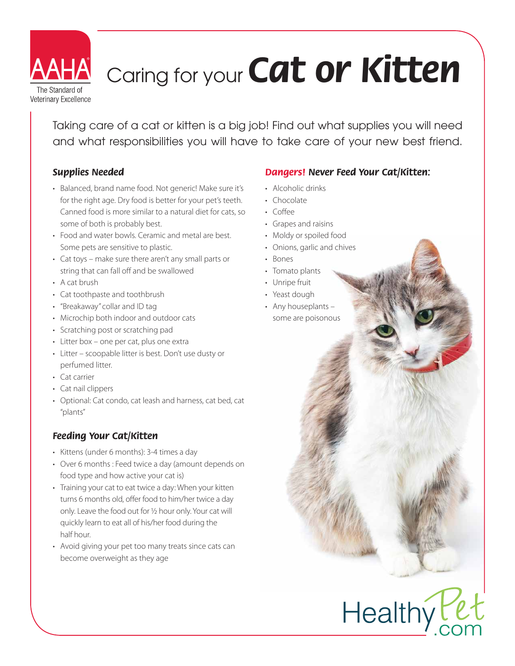

# Caring for your *Cat or Kitten*

Taking care of a cat or kitten is a big job! Find out what supplies you will need and what responsibilities you will have to take care of your new best friend.

## *Supplies Needed*

- · Balanced, brand name food. Not generic! Make sure it's for the right age. Dry food is better for your pet's teeth. Canned food is more similar to a natural diet for cats, so some of both is probably best.
- Food and water bowls. Ceramic and metal are best. Some pets are sensitive to plastic.
- $\cdot$  Cat toys make sure there aren't any small parts or string that can fall off and be swallowed
- $\cdot$  A cat brush
- Cat toothpaste and toothbrush
- "Breakaway" collar and ID tag
- Microchip both indoor and outdoor cats
- Scratching post or scratching pad
- Litter box one per cat, plus one extra
- Litter scoopable litter is best. Don't use dusty or perfumed litter.
- Cat carrier
- Cat nail clippers
- Optional: Cat condo, cat leash and harness, cat bed, cat "plants"

## *Feeding Your Cat/Kitten*

- Kittens (under 6 months): 3-4 times a day
- Over 6 months : Feed twice a day (amount depends on food type and how active your cat is)
- Training your cat to eat twice a day: When your kitten turns 6 months old, offer food to him/her twice a day only. Leave the food out for 1/2 hour only. Your cat will quickly learn to eat all of his/her food during the half hour.
- Avoid giving your pet too many treats since cats can become overweight as they age

## *Dangers! Never Feed Your Cat/Kitten:*

**Healthy** 

- Alcoholic drinks
- Chocolate
- Coffee
- Grapes and raisins
- Moldy or spoiled food
- Onions, garlic and chives
- Bones
- Tomato plants
- Unripe fruit
- Yeast dough
- Any houseplants  $$ some are poisonous